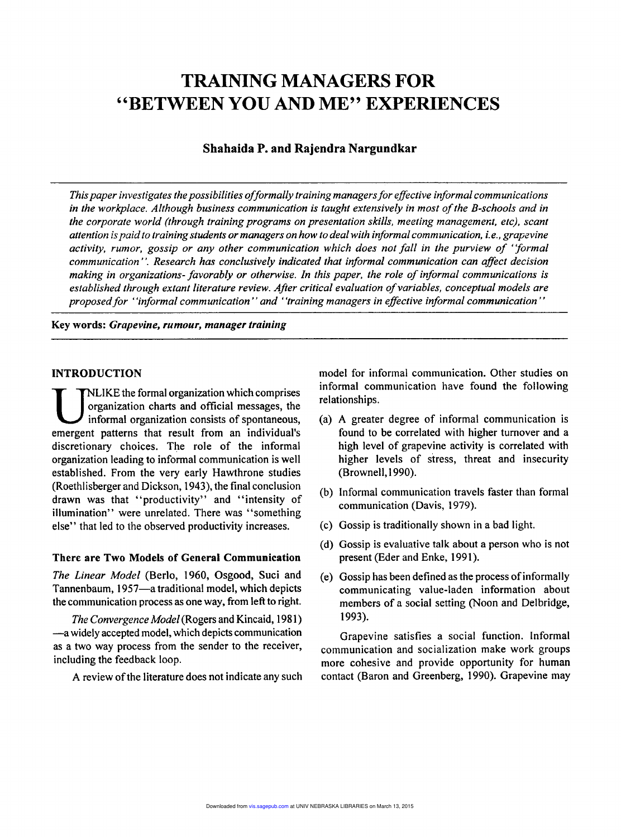# TRAINING MANAGERS FOR "BETWEEN YOU AND ME" EXPERIENCES

# Shahaida P. and Rajendra Nargundkar

*Thispaperinvestigates the possibilities offormally training managersfor effective informal communications in the workplace. Although business communication is taught extensively in most ofthe B-schools and in the corporate world (through training programs on presentation skills, meeting management, etc), scant attention ispaidto training students or managers on how to deal with informal communication, i.e., grapevine activity, rumor, gossip or any other communication which does not fall in the purview of "formal communication' '. Research has conclusively indicated that informal communication can affect decision making in organizations- favorably or otherwise. In this paper, the role ofinformal communications is established through extant literature review. After critical evaluation ofvariables, conceptual models are proposed for "informal communication"* and "training managers in effective informal communication"

Key words: *Grapevine, rumour, manager training*

#### INTRODUCTION

WEIKE the formal organization which comprises<br>organization charts and official messages, the<br>informal organization consists of spontaneous,<br>emergent patterns that result from an individual's LIKE the formal organization which comprises organization charts and official messages, the informal organization consists of spontaneous, discretionary choices. The role of the informal organization leading to informal communication is well established. From the very early Hawthrone studies (Roethlisberger and Dickson, 1943), the final conclusion drawn was that "productivity" and "intensity of illumination" were unrelated. There was "something else" that led to the observed productivity increases.

#### There are Two Models of General Communication

*The Linear Model* (Berlo, 1960, Osgood, Suci and Tannenbaum, 1957-a traditional model, which depicts the communication process as one way, from left to right.

*The Convergence Model* (Rogers and Kincaid, 1981) -awidely accepted model, which depicts communication as a two way process from the sender to the receiver, including the feedback loop.

A review of the literature does not indicate any such

model for informal communication. Other studies on informal communication have found the following relationships.

- (a) A greater degree of informal communication is found to be correlated with higher turnover and a high level of grapevine activity is correlated with higher levels of stress, threat and insecurity (Brownell,1990).
- (b) Informal communication travels faster than formal communication (Davis, 1979).
- (c) Gossip is traditionally shown in a bad light.
- (d) Gossip is evaluative talk about a person who is not present (Eder and Enke, 1991).
- (e) Gossip has been defined as the process of informally communicating value-laden information about members of a social setting (Noon and Delbridge, 1993).

Grapevine satisfies a social function. Informal communication and socialization make work groups more cohesive and provide opportunity for human contact (Baron and Greenberg, 1990). Grapevine may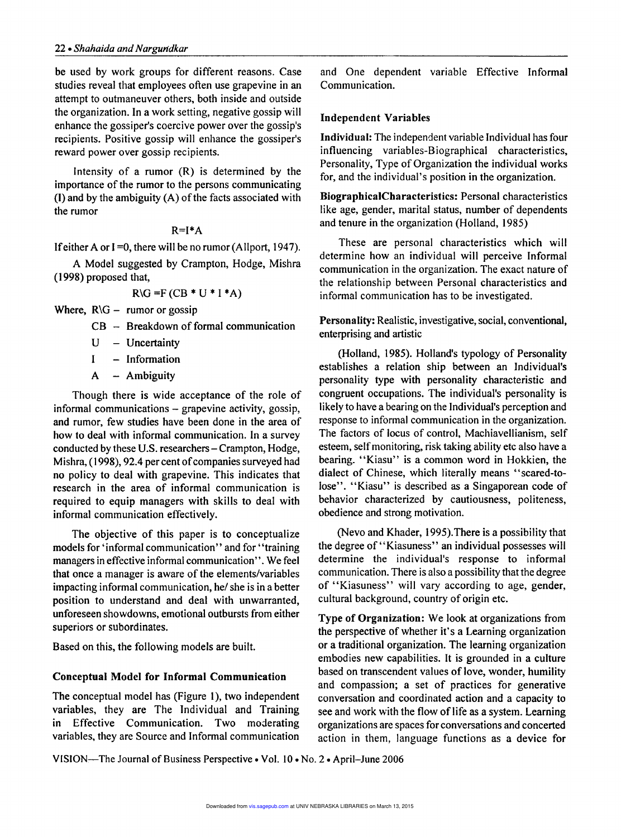be used by work groups for different-reasons. Case studies reveal that employees often use grapevine in an attempt to outmaneuver others, both inside and outside the organization. In a work setting, negative gossip will enhance the gossiper's coercive power over the gossip's recipients. Positive gossip will enhance the gossiper's reward power over gossip recipients.

Intensity of a rumor (R) is determined by the importance of the rumor to the persons communicating  $(1)$  and by the ambiguity  $(A)$  of the facts associated with the rumor

### $R=I^*A$

If either A or  $I = 0$ , there will be no rumor (Allport, 1947).

A Model suggested by Crampton, Hodge, Mishra (1998) proposed that,

$$
R\setminus G = F(CB * U * I * A)
$$

Where,  $R\backslash G$  – rumor or gossip

 $CB - Breakdown$  of formal communication

 $U$  – Uncertainty

I - Information

 $A - Ambiguity$ 

Though there is wide acceptance of the role of informal communications - grapevine activity, gossip, and rumor, few studies have been done in the area of how to deal with informal communication. In a survey conducted by these U.S. researchers- Crampton, Hodge, Mishra, (1998), 92.4 per cent of companies surveyed had no policy to deal with grapevine. This indicates that research in the area of informal communication is required to equip managers with skills to deal with informal communication effectively.

The objective of this paper is to conceptualize models for 'informal communication'' and for "training managers in effective informal communication". We feel that once a manager is aware of the elements/variables impacting informal communication, he/ she is in a better position to understand and deal with unwarranted, unforeseen showdowns, emotional outbursts from either superiors or subordinates.

Based on this, the following models are built.

# Conceptual Model for Informal Communication

The conceptual model has (Figure 1), two independent variables, they are The Individual and Training in Effective Communication. Two moderating variables, they are Source and Informal communication and One dependent variable Effective Informal Communication.

#### Independent Variables

Individual: The independent variable Individual has four influencing variables-Biographical characteristics, Personality, Type of Organization the individual works for, and the individual's position in the organization.

BiographicalCharacteristics: Personal characteristics like age, gender, marital status, number of dependents and tenure in the organization (Holland, 1985)

These are personal characteristics which will determine how an individual will perceive Informal communication in the organization. The exact nature of the relationship between Personal characteristics and informal communication has to be investigated.

Personality: Realistic, investigative, social, conventional, enterprising and artistic

(Holland, 1985). Holland's typology of Personality establishes a relation ship between an Individual's personality type with personality characteristic and congruent occupations. The individual's personality is likely to have a bearing on the Individual's perception and response to informal communication in the organization. The factors of locus of control, Machiavellianism, self esteem, self monitoring, risk taking ability etc also have a bearing. "Kiasu" is a common word in Hokkien, the dialect of Chinese, which literally means "scared-tolose". "Kiasu" is described as a Singaporean code of behavior characterized by cautiousness, politeness, obedience and strong motivation.

(Nevo and Khader, 1995).There is a possibility that the degree of "Kiasuness" an individual possesses will determine the individual's response to informal communication, There is also a possibility that the degree of "Kiasuness" will vary according to age, gender, cultural background, country of origin etc.

Type of Organization: We look at organizations from the perspective of whether it's a Learning organization or a traditional organization. The learning organization embodies new capabilities. It is grounded in a culture based on transcendent values of love, wonder, humility and compassion; a set of practices for generative conversation and coordinated action and a capacity to see and work with the flow of life as a system. Learning organizations are spaces for conversations and concerted action in them, language functions as a device for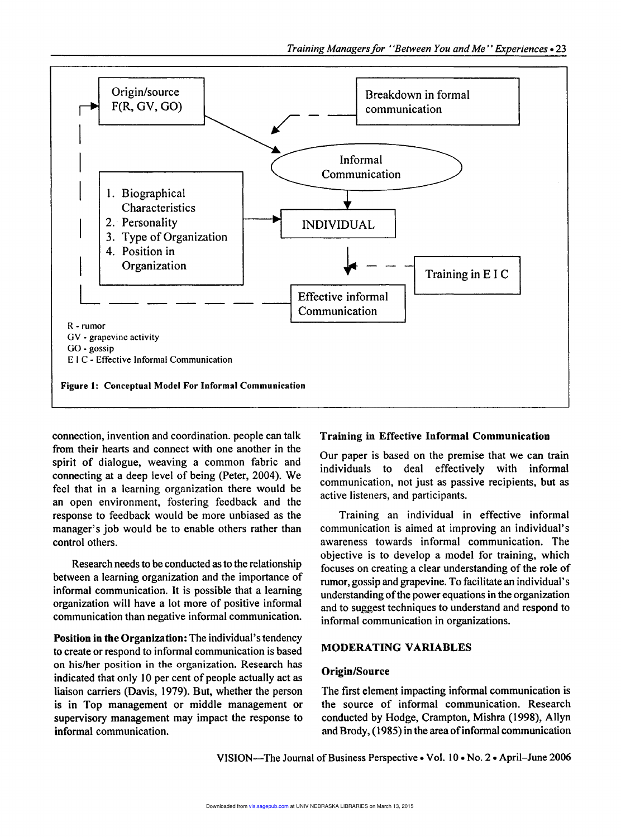

connection, invention and coordination. people can talk from their hearts and connect with one another in the spirit of dialogue, weaving a common fabric and connecting at a deep level of being (Peter, 2004). We feel that in a learning organization there would be an open environment, fostering feedback and the response to feedback would be more unbiased as the manager's job would be to enable others rather than control others.

Research needs to be conducted as to the relationship between a learning organization and the importance of informal communication. It is possible that a learning organization will have a lot more of positive informal communication than negative informal communication.

Position in the Organization: The individual's tendency to create or respond to informal communication is based on his/her position in the organization. Research has indicated that only 10 per cent of people actually act as liaison carriers (Davis, 1979). But, whether the person is in Top management or middle management or supervisory management may impact the response to informal communication.

### Training in Effective Informal Communication

Our paper is based on the premise that we can train individuals to deal effectively with informal communication, not just as passive recipients, but as active listeners, and participants.

Training an individual in effective informal communication is aimed at improving an individual's awareness towards informal communication. The objective is to develop a model for training, which focuses on creating a clear understanding of the role of rumor, gossip and grapevine. To facilitate an individual's understanding of the power equations in the organization and to suggest techniques to understand and respond to informal communication in organizations.

### MODERATING VARIABLES

#### Origin/Source

The first element impacting informal communication is the source of informal communication. Research conducted by Hodge, Crampton, Mishra (1998), Allyn and Brody, (1985) in the area of informal communication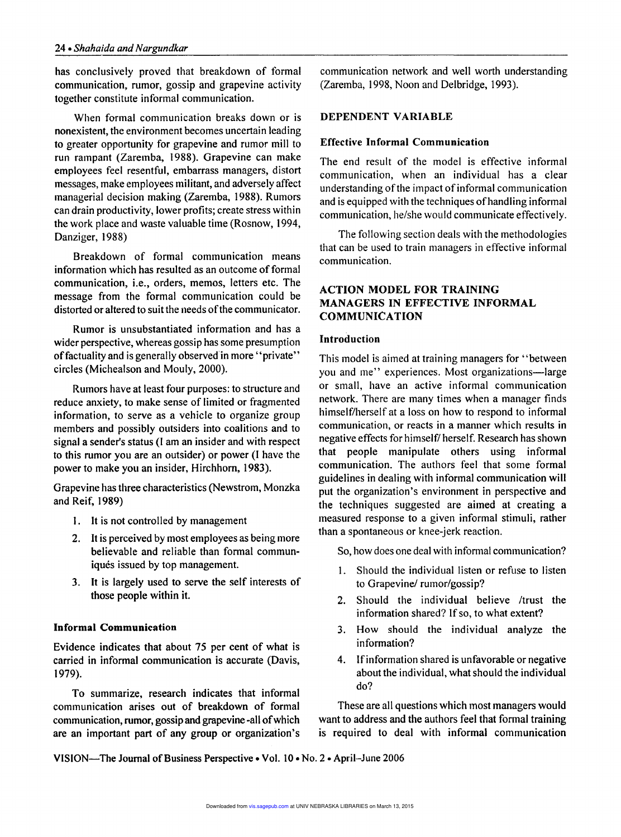has conclusively proved that breakdown of formal communication, rumor, gossip and grapevine activity together constitute informal communication.

When formal communication breaks down or is nonexistent, the environment becomes uncertain leading to greater opportunity for grapevine and rumor mill to run rampant (Zaremba, 1988). Grapevine can make employees feel resentful, embarrass managers, distort messages, make employees militant, and adversely affect managerial decision making (Zaremba, 1988). Rumors can drain productivity, lower profits; create stress within the work place and waste valuable time (Rosnow, 1994, Danziger, 1988)

Breakdown of formal communication means information which has resulted as an outcome of formal communication, i.e., orders, memos, letters etc. The message from the formal communication could be distorted or altered to suit the needs of the communicator.

Rumor is unsubstantiated information and has a wider perspective, whereas gossip has some presumption of factuality and is generally observed in more "private" circles (Michealson and Mouly, 2000).

Rumors have at least four purposes: to structure and reduce anxiety, to make sense of limited or fragmented information, to serve as a vehicle to organize group members and possibly outsiders into coalitions and to signal a sender's status (I am an insider and with respect to this rumor you are an outsider) or power (I have the power to make you an insider, Hirchhorn, 1983).

Grapevine has three characteristics (Newstrom, Monzka and Reif, 1989)

- 1. It is not controlled by management
- 2. It is perceived by most employees as being more believable and reliable than formal communiqués issued by top management.
- 3. It is largely used to serve the self interests of those people within it.

# Informal Communication

Evidence indicates that about 75 per cent of what is carried in informal communication is accurate (Davis, 1979).

To summarize, research indicates that informal communication arises out of breakdown of formal communication, rumor, gossip and grapevine-all of which are an important part of any group or organization's

communication network and well worth understanding (Zaremba, 1998, Noon and Delbridge, 1993).

#### DEPENDENT VARIABLE

#### Effective Informal Communication

The end result of the model is effective informal communication, when an individual has a clear understanding of the impact of informal communication and is equipped with the techniques of handling informal communication, he/she would communicate effectively.

The following section deals with the methodologies that can be used to train managers in effective informal communication.

# ACTION MODEL FOR TRAINING MANAGERS IN EFFECTIVE INFORMAL COMMUNICATION

#### Introduction

This model is aimed at training managers for "between you and me" experiences. Most organizations-large or small, have an active informal communication network. There are many times when a manager finds himself/herself at a loss on how to respond to informal communication, or reacts in a manner which results in negative effects for himself/ herself. Research has shown that people manipulate others using informal communication. The authors feel that some formal guidelines in dealing with informal communication will put the organization's environment in perspective and the techniques suggested are aimed at creating a measured response to a given informal stimuli, rather than a spontaneous or knee-jerk reaction.

So, how does one deal with informal communication?

- 1. Should the individual listen or refuse to listen to Grapevine/ rumor/gossip?
- 2. Should the individual believe /trust the information shared? If so, to what extent?
- 3. How should the individual analyze the information?
- 4. Ifinformation shared is unfavorable or negative about the individual, what should the individual do?

These are all questions which most managers would want to address and the authors feel that formal training is required to deal with informal communication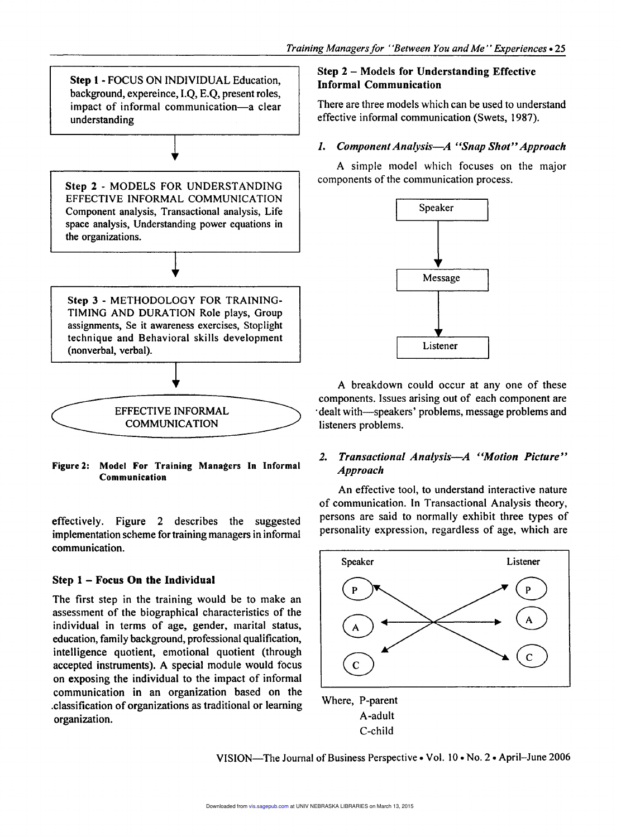Step 1 - FOCUS ON INDIVIDUAL Education, background, expereince, I.Q, E.Q, present roles, impact of informal communication-a clear understanding Step 2 - MODELS FOR UNDERSTANDING EFFECTIVE INFORMAL COMMUNICATION Component analysis, Transactional analysis, Life space analysis, Understanding power equations in the organizations. Step 3 - METHODOLOGY FOR TRAINING-TIMING AND DURATION Role plays, Group assignments, Se it awareness exercises, Stoplight technique and Behavioral skills development (nonverbal, verbal). EFFECTIVE INFORMAL COMMUNICATION

Figure 2: Model For Training Managers In Informal Communication

effectively. Figure 2 describes the suggested implementation scheme for training managers in informal communication.

# Step 1 - Focus On the Individual

The first step in the training would be to make an assessment of the biographical characteristics of the individual in terms of age, gender, marital status, education, family background, professional qualification, intelligence quotient, emotional quotient (through accepted instruments). A special module would focus on exposing the individual to the impact of informal communication in an organization based on the .classification of organizations as traditional or learning organization.

# Step 2 - Models for Understanding Effective Informal Communication

There are three models which can be used to understand effective informal communication (Swets, 1987).

## *1. Component Analysis-A "Snap Shot" Approach*

A simple model which focuses on the major components of the communication process.



A breakdown could occur at anyone of these components. Issues arising out of each component are dealt with-speakers' problems, message problems and listeners problems.

# *2. Transactional Analysis-A "Motion Picture" Approach*

An effective tool, to understand interactive nature of communication. In Transactional Analysis theory, persons are said to normally exhibit three types of personality expression, regardless of age, which are



VISION—The Journal of Business Perspective • Vol. 10 • No. 2 • April-June 2006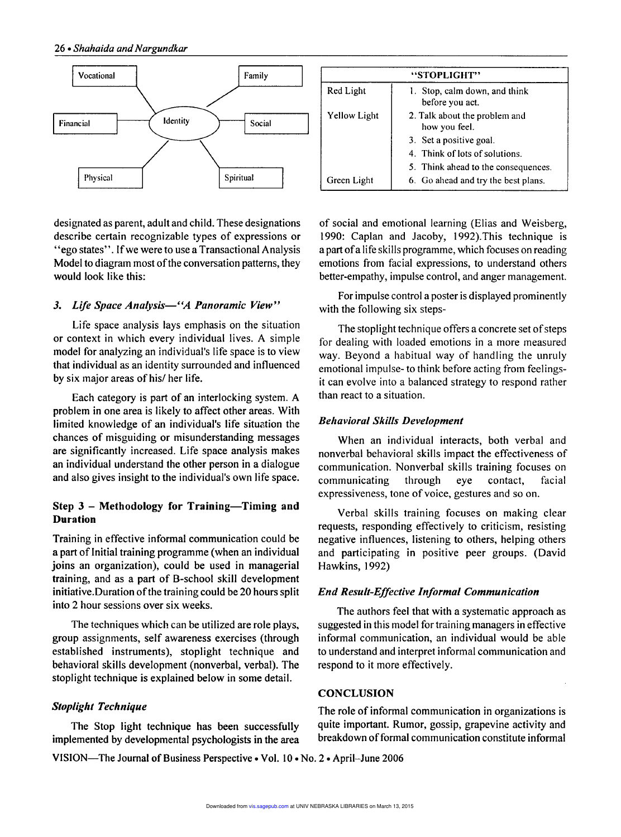

designated as parent, adult and child. These designations describe certain recognizable types of expressions or "ego states". If we were to use a Transactional Analysis Model to diagram most of the conversation patterns, they would look like this:

#### *3. Life Space Anaiysis-"A Panoramic View"*

Life space analysis lays emphasis on the situation or context in which every individual lives. A simple model for analyzing an individual's life space is to view that individual as an identity surrounded and influenced by six major areas of his/ her life.

Each category is part of an interlocking system. A problem in one area is likely to affect other areas. With limited knowledge of an individual's life situation the chances of misguiding or misunderstanding messages are significantly increased. Life space analysis makes an individual understand the other person in a dialogue and also gives insight to the individual's own life space.

#### Step 3 - Methodology for Training-Timing and Duration

Training in effective informal communication could be a part of Initial training programme (when an individual joins an organization), could be used in managerial training, and as a part of B-school skill development initiative. Duration of the training could be 20 hours split into 2 hour sessions over six weeks.

The techniques which can be utilized are role plays, group assignments, self awareness exercises (through established instruments), stoplight technique and behavioral skills development (nonverbal, verbal). The stoplight technique is explained below in some detail.

implemented by developmental psychologists in the area breakdown of formal communication constitute informal

| "STOPLIGHT"         |                                                  |
|---------------------|--------------------------------------------------|
| Red Light           | 1. Stop, calm down, and think<br>before you act. |
| <b>Yellow Light</b> | 2. Talk about the problem and<br>how you feel.   |
|                     | 3. Set a positive goal.                          |
|                     | 4. Think of lots of solutions.                   |
|                     | 5. Think ahead to the consequences.              |
| Green Light         | 6. Go ahead and try the best plans.              |

of social and emotional learning (Elias and Weisberg, 1990: Caplan and Jacoby, 1992).This technique is a part ofa life skills programme, which focuses on reading emotions from facial expressions, to understand others better-empathy, impulse control, and anger management.

For impulse control a poster is displayed prominently with the following six steps-

The stoplight technique offers a concrete set of steps for dealing with loaded emotions in a more measured way. Beyond a habitual way of handling the unruly emotional impulse- to think before acting from feelingsit can evolve into a balanced strategy to respond rather than react to a situation.

#### *Behavioral Skills Development*

When an individual interacts, both verbal and nonverbal behavioral skills impact the effectiveness of communication, Nonverbal skills training focuses on communicating through eye contact, facial expressiveness, tone of voice, gestures and so on.

Verbal skills training focuses on making clear requests, responding effectively to criticism, resisting negative influences, listening to others, helping others and participating in positive peer groups. (David Hawkins, 1992)

#### *End Result-Effective Informal Communication*

The authors feel that with a systematic approach as suggested in this model for training managers in effective informal communication, an individual would be able to understand and interpret informal communication and respond to it more effectively.

#### **CONCLUSION**

**Stoplight Technique** The role of informal communication in organizations is The Stop light technique has been successfully quite important. Rumor, gossip, grapevine activity and